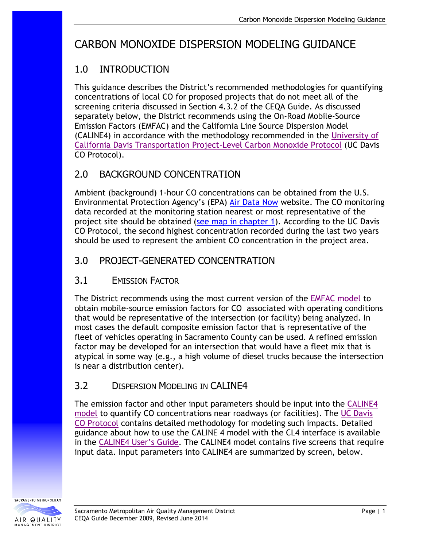# CARBON MONOXIDE DISPERSION MODELING GUIDANCE

# 1.0 INTRODUCTION

This guidance describes the District's recommended methodologies for quantifying concentrations of local CO for proposed projects that do not meet all of the screening criteria discussed in Section 4.3.2 of the CEQA Guide. As discussed separately below, the District recommends using the On-Road Mobile-Source Emission Factors (EMFAC) and the California Line Source Dispersion Model (CALINE4) in accordance with the methodology recommended in the [University of](http://www.dot.ca.gov/hq/env/air/pages/coprot.htm)  [California Davis Transportation Project-Level Carbon Monoxide Protocol](http://www.dot.ca.gov/hq/env/air/pages/coprot.htm) (UC Davis CO Protocol).

## 2.0 BACKGROUND CONCENTRATION

Ambient (background) 1-hour CO concentrations can be obtained from the U.S. Environmental Protection Agency's (EPA) [Air Data Now](https://www.epa.gov/outdoor-air-quality-data) website. The CO monitoring data recorded at the monitoring station nearest or most representative of the project site should be obtained [\(see map in chapter 1\)](http://www.airquality.org/Businesses/CEQA-Land-Use-Planning/CEQA-Guidance-Tools). According to the UC Davis CO Protocol, the second highest concentration recorded during the last two years should be used to represent the ambient CO concentration in the project area.

## 3.0 PROJECT-GENERATED CONCENTRATION

#### 3.1 EMISSION FACTOR

The District recommends using the most current version of the [EMFAC model](http://www.arb.ca.gov/msei/categories.htm#onroad_motor_vehicles) to obtain mobile-source emission factors for CO associated with operating conditions that would be representative of the intersection (or facility) being analyzed. In most cases the default composite emission factor that is representative of the fleet of vehicles operating in Sacramento County can be used. A refined emission factor may be developed for an intersection that would have a fleet mix that is atypical in some way (e.g., a high volume of diesel trucks because the intersection is near a distribution center).

#### 3.2 DISPERSION MODELING IN CALINE4

The emission factor and other input parameters should be input into the [CALINE4](http://www.dot.ca.gov/hq/env/air/pages/cl_license.htm)  [model](http://www.dot.ca.gov/hq/env/air/pages/cl_license.htm) to quantify CO concentrations near roadways (or facilities). The [UC Davis](http://www.dot.ca.gov/hq/env/air/pages/coprot.htm)  CO [Protocol](http://www.dot.ca.gov/hq/env/air/pages/coprot.htm) contains detailed methodology for modeling such impacts. Detailed guidance about how to use the CALINE 4 model with the CL4 interface is available in the [CALINE4 User's Guide](http://www.dot.ca.gov/hq/env/air/documents/CL4Guide.pdf). The CALINE4 model contains five screens that require input data. Input parameters into CALINE4 are summarized by screen, below.

SACRAMENTO METROPOLITAN AIR QUALITY

**MANAGEMENT DISTRIC**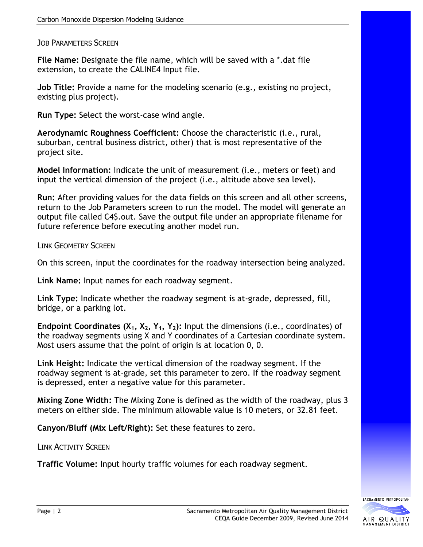JOB PARAMETERS SCREEN

**File Name:** Designate the file name, which will be saved with a \*.dat file extension, to create the CALINE4 Input file.

**Job Title:** Provide a name for the modeling scenario (e.g., existing no project, existing plus project).

**Run Type:** Select the worst-case wind angle.

**Aerodynamic Roughness Coefficient:** Choose the characteristic (i.e., rural, suburban, central business district, other) that is most representative of the project site.

**Model Information:** Indicate the unit of measurement (i.e., meters or feet) and input the vertical dimension of the project (i.e., altitude above sea level).

**Run:** After providing values for the data fields on this screen and all other screens, return to the Job Parameters screen to run the model. The model will generate an output file called C4\$.out. Save the output file under an appropriate filename for future reference before executing another model run.

LINK GEOMETRY SCREEN

On this screen, input the coordinates for the roadway intersection being analyzed.

**Link Name:** Input names for each roadway segment.

**Link Type:** Indicate whether the roadway segment is at-grade, depressed, fill, bridge, or a parking lot.

**Endpoint Coordinates (X1, X2, Y1, Y2):** Input the dimensions (i.e., coordinates) of the roadway segments using X and Y coordinates of a Cartesian coordinate system. Most users assume that the point of origin is at location 0, 0.

**Link Height:** Indicate the vertical dimension of the roadway segment. If the roadway segment is at-grade, set this parameter to zero. If the roadway segment is depressed, enter a negative value for this parameter.

**Mixing Zone Width:** The Mixing Zone is defined as the width of the roadway, plus 3 meters on either side. The minimum allowable value is 10 meters, or 32.81 feet.

**Canyon/Bluff (Mix Left/Right):** Set these features to zero.

LINK ACTIVITY SCREEN

**Traffic Volume:** Input hourly traffic volumes for each roadway segment.

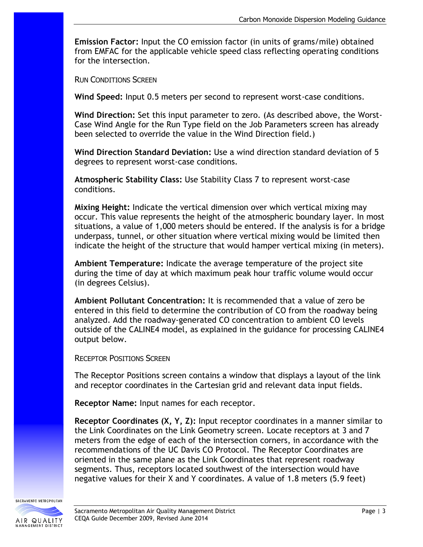**Emission Factor:** Input the CO emission factor (in units of grams/mile) obtained from EMFAC for the applicable vehicle speed class reflecting operating conditions for the intersection.

RUN CONDITIONS SCREEN

**Wind Speed:** Input 0.5 meters per second to represent worst-case conditions.

**Wind Direction:** Set this input parameter to zero. (As described above, the Worst-Case Wind Angle for the Run Type field on the Job Parameters screen has already been selected to override the value in the Wind Direction field.)

**Wind Direction Standard Deviation:** Use a wind direction standard deviation of 5 degrees to represent worst-case conditions.

**Atmospheric Stability Class:** Use Stability Class 7 to represent worst-case conditions.

**Mixing Height:** Indicate the vertical dimension over which vertical mixing may occur. This value represents the height of the atmospheric boundary layer. In most situations, a value of 1,000 meters should be entered. If the analysis is for a bridge underpass, tunnel, or other situation where vertical mixing would be limited then indicate the height of the structure that would hamper vertical mixing (in meters).

**Ambient Temperature:** Indicate the average temperature of the project site during the time of day at which maximum peak hour traffic volume would occur (in degrees Celsius).

**Ambient Pollutant Concentration:** It is recommended that a value of zero be entered in this field to determine the contribution of CO from the roadway being analyzed. Add the roadway-generated CO concentration to ambient CO levels outside of the CALINE4 model, as explained in the guidance for processing CALINE4 output below.

RECEPTOR POSITIONS SCREEN

The Receptor Positions screen contains a window that displays a layout of the link and receptor coordinates in the Cartesian grid and relevant data input fields.

**Receptor Name:** Input names for each receptor.

**Receptor Coordinates (X, Y, Z):** Input receptor coordinates in a manner similar to the Link Coordinates on the Link Geometry screen. Locate receptors at 3 and 7 meters from the edge of each of the intersection corners, in accordance with the recommendations of the UC Davis CO Protocol. The Receptor Coordinates are oriented in the same plane as the Link Coordinates that represent roadway segments. Thus, receptors located southwest of the intersection would have negative values for their X and Y coordinates. A value of 1.8 meters (5.9 feet)